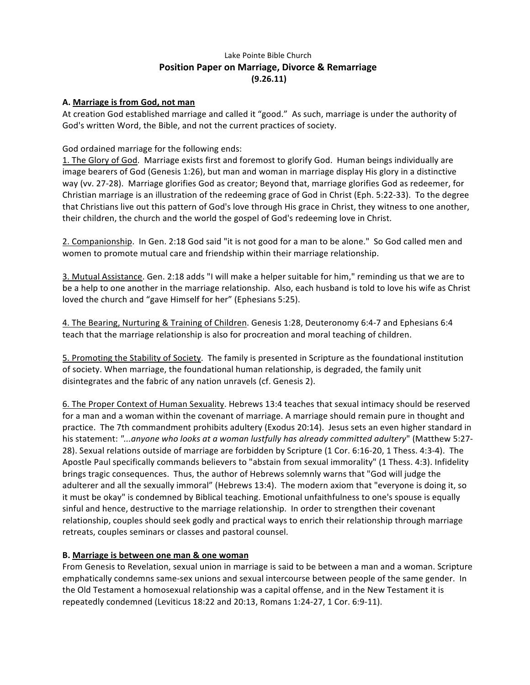# Lake Pointe Bible Church **Position Paper on Marriage, Divorce & Remarriage (9.26.11)**

## **A. Marriage is from God, not man**

At creation God established marriage and called it "good." As such, marriage is under the authority of God's written Word, the Bible, and not the current practices of society.

## God ordained marriage for the following ends:

1. The Glory of God. Marriage exists first and foremost to glorify God. Human beings individually are image bearers of God (Genesis 1:26), but man and woman in marriage display His glory in a distinctive way (vv. 27-28). Marriage glorifies God as creator; Beyond that, marriage glorifies God as redeemer, for Christian marriage is an illustration of the redeeming grace of God in Christ (Eph. 5:22-33). To the degree that Christians live out this pattern of God's love through His grace in Christ, they witness to one another, their children, the church and the world the gospel of God's redeeming love in Christ.

2. Companionship. In Gen. 2:18 God said "it is not good for a man to be alone." So God called men and women to promote mutual care and friendship within their marriage relationship.

3. Mutual Assistance. Gen. 2:18 adds "I will make a helper suitable for him," reminding us that we are to be a help to one another in the marriage relationship. Also, each husband is told to love his wife as Christ loved the church and "gave Himself for her" (Ephesians 5:25).

4. The Bearing, Nurturing & Training of Children. Genesis 1:28, Deuteronomy 6:4-7 and Ephesians 6:4 teach that the marriage relationship is also for procreation and moral teaching of children.

5. Promoting the Stability of Society. The family is presented in Scripture as the foundational institution of society. When marriage, the foundational human relationship, is degraded, the family unit disintegrates and the fabric of any nation unravels (cf. Genesis 2).

6. The Proper Context of Human Sexuality. Hebrews 13:4 teaches that sexual intimacy should be reserved for a man and a woman within the covenant of marriage. A marriage should remain pure in thought and practice. The 7th commandment prohibits adultery (Exodus 20:14). Jesus sets an even higher standard in his statement: "...anyone who looks at a woman lustfully has already committed adultery" (Matthew 5:27-28). Sexual relations outside of marriage are forbidden by Scripture (1 Cor. 6:16-20, 1 Thess. 4:3-4). The Apostle Paul specifically commands believers to "abstain from sexual immorality" (1 Thess. 4:3). Infidelity brings tragic consequences. Thus, the author of Hebrews solemnly warns that "God will judge the adulterer and all the sexually immoral" (Hebrews 13:4). The modern axiom that "everyone is doing it, so it must be okay" is condemned by Biblical teaching. Emotional unfaithfulness to one's spouse is equally sinful and hence, destructive to the marriage relationship. In order to strengthen their covenant relationship, couples should seek godly and practical ways to enrich their relationship through marriage retreats, couples seminars or classes and pastoral counsel.

#### **B.** Marriage is between one man & one woman

From Genesis to Revelation, sexual union in marriage is said to be between a man and a woman. Scripture emphatically condemns same-sex unions and sexual intercourse between people of the same gender. In the Old Testament a homosexual relationship was a capital offense, and in the New Testament it is repeatedly condemned (Leviticus 18:22 and 20:13, Romans 1:24-27, 1 Cor. 6:9-11).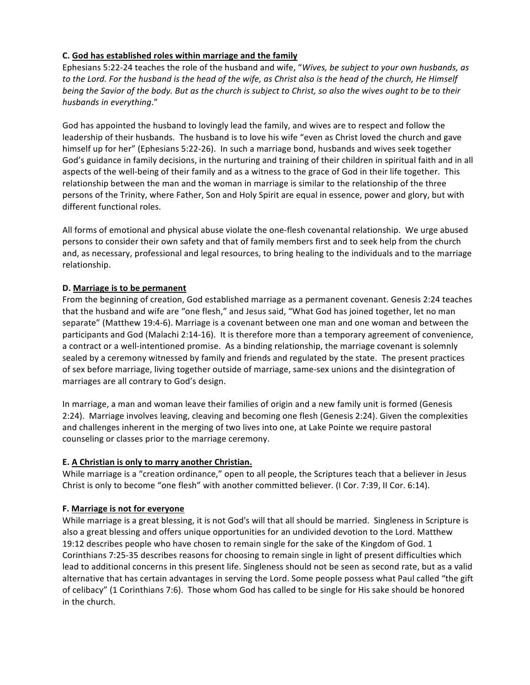# C. God has established roles within marriage and the family

Ephesians 5:22-24 teaches the role of the husband and wife, "Wives, be subject to your own husbands, as to the Lord. For the husband is the head of the wife, as Christ also is the head of the church, He Himself *being* the Savior of the body. But as the church is subject to Christ, so also the wives ought to be to their *husbands in everything*."

God has appointed the husband to lovingly lead the family, and wives are to respect and follow the leadership of their husbands. The husband is to love his wife "even as Christ loved the church and gave himself up for her" (Ephesians 5:22-26). In such a marriage bond, husbands and wives seek together God's guidance in family decisions, in the nurturing and training of their children in spiritual faith and in all aspects of the well-being of their family and as a witness to the grace of God in their life together. This relationship between the man and the woman in marriage is similar to the relationship of the three persons of the Trinity, where Father, Son and Holy Spirit are equal in essence, power and glory, but with different functional roles.

All forms of emotional and physical abuse violate the one-flesh covenantal relationship. We urge abused persons to consider their own safety and that of family members first and to seek help from the church and, as necessary, professional and legal resources, to bring healing to the individuals and to the marriage relationship. 

## **D. Marriage is to be permanent**

From the beginning of creation, God established marriage as a permanent covenant. Genesis 2:24 teaches that the husband and wife are "one flesh," and Jesus said, "What God has joined together, let no man separate" (Matthew 19:4-6). Marriage is a covenant between one man and one woman and between the participants and God (Malachi 2:14-16). It is therefore more than a temporary agreement of convenience, a contract or a well-intentioned promise. As a binding relationship, the marriage covenant is solemnly sealed by a ceremony witnessed by family and friends and regulated by the state. The present practices of sex before marriage, living together outside of marriage, same-sex unions and the disintegration of marriages are all contrary to God's design.

In marriage, a man and woman leave their families of origin and a new family unit is formed (Genesis 2:24). Marriage involves leaving, cleaving and becoming one flesh (Genesis 2:24). Given the complexities and challenges inherent in the merging of two lives into one, at Lake Pointe we require pastoral counseling or classes prior to the marriage ceremony.

#### **E.** A Christian is only to marry another Christian.

While marriage is a "creation ordinance," open to all people, the Scriptures teach that a believer in Jesus Christ is only to become "one flesh" with another committed believer. (I Cor. 7:39, II Cor. 6:14).

#### **F.** Marriage is not for everyone

While marriage is a great blessing, it is not God's will that all should be married. Singleness in Scripture is also a great blessing and offers unique opportunities for an undivided devotion to the Lord. Matthew 19:12 describes people who have chosen to remain single for the sake of the Kingdom of God. 1 Corinthians 7:25-35 describes reasons for choosing to remain single in light of present difficulties which lead to additional concerns in this present life. Singleness should not be seen as second rate, but as a valid alternative that has certain advantages in serving the Lord. Some people possess what Paul called "the gift of celibacy" (1 Corinthians 7:6). Those whom God has called to be single for His sake should be honored in the church.